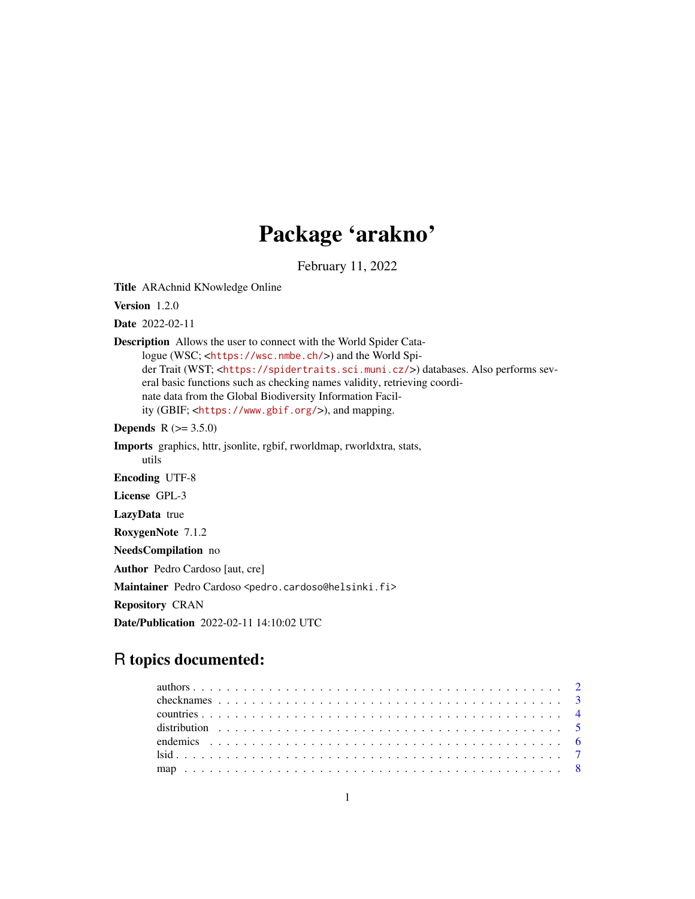# Package 'arakno'

February 11, 2022

Title ARAchnid KNowledge Online

Version 1.2.0

Date 2022-02-11

Description Allows the user to connect with the World Spider Catalogue (WSC; <<https://wsc.nmbe.ch/>>) and the World Spider Trait (WST; <<https://spidertraits.sci.muni.cz/>>) databases. Also performs several basic functions such as checking names validity, retrieving coordinate data from the Global Biodiversity Information Facility (GBIF; <<https://www.gbif.org/>>), and mapping.

**Depends**  $R (= 3.5.0)$ 

Imports graphics, httr, jsonlite, rgbif, rworldmap, rworldxtra, stats, utils

Encoding UTF-8

License GPL-3

LazyData true

RoxygenNote 7.1.2

NeedsCompilation no

Author Pedro Cardoso [aut, cre]

Maintainer Pedro Cardoso <pedro.cardoso@helsinki.fi>

Repository CRAN

Date/Publication 2022-02-11 14:10:02 UTC

# R topics documented: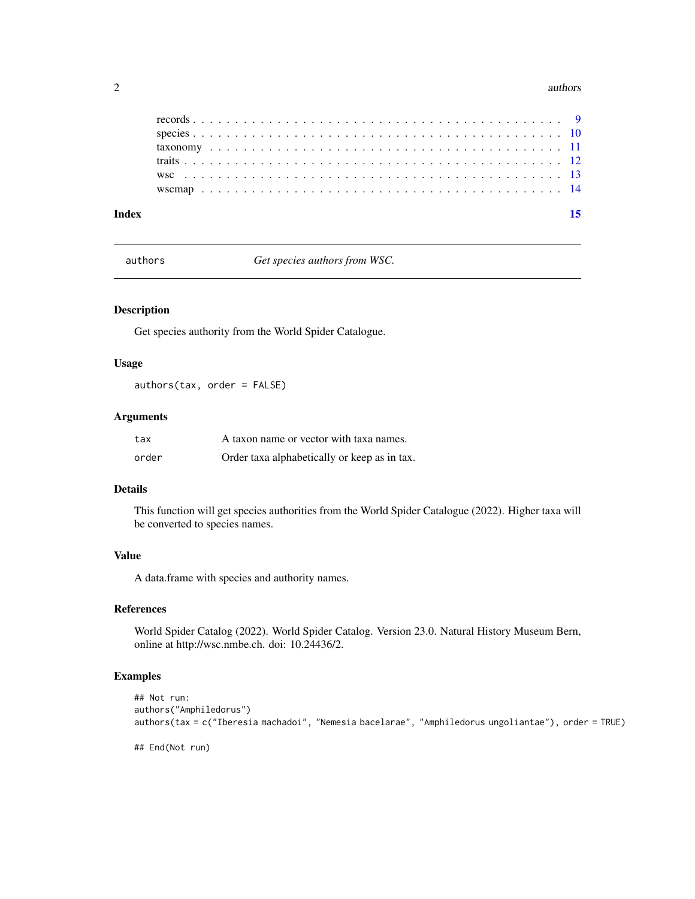#### <span id="page-1-0"></span>2 authors and the contract of the contract of the contract of the contract of the contract of the contract of the contract of the contract of the contract of the contract of the contract of the contract of the contract of

| Indev |  |  |  |  |  |  |  |  |  |  |  |  |  |  |  |  |  |  |  |  |  |  |
|-------|--|--|--|--|--|--|--|--|--|--|--|--|--|--|--|--|--|--|--|--|--|--|
|       |  |  |  |  |  |  |  |  |  |  |  |  |  |  |  |  |  |  |  |  |  |  |
|       |  |  |  |  |  |  |  |  |  |  |  |  |  |  |  |  |  |  |  |  |  |  |
|       |  |  |  |  |  |  |  |  |  |  |  |  |  |  |  |  |  |  |  |  |  |  |
|       |  |  |  |  |  |  |  |  |  |  |  |  |  |  |  |  |  |  |  |  |  |  |
|       |  |  |  |  |  |  |  |  |  |  |  |  |  |  |  |  |  |  |  |  |  |  |
|       |  |  |  |  |  |  |  |  |  |  |  |  |  |  |  |  |  |  |  |  |  |  |

authors *Get species authors from WSC.*

#### Description

Get species authority from the World Spider Catalogue.

### Usage

authors(tax, order = FALSE)

#### Arguments

| tax   | A taxon name or vector with taxa names.      |
|-------|----------------------------------------------|
| order | Order taxa alphabetically or keep as in tax. |

#### Details

This function will get species authorities from the World Spider Catalogue (2022). Higher taxa will be converted to species names.

# Value

A data.frame with species and authority names.

# References

World Spider Catalog (2022). World Spider Catalog. Version 23.0. Natural History Museum Bern, online at http://wsc.nmbe.ch. doi: 10.24436/2.

# Examples

```
## Not run:
authors("Amphiledorus")
authors(tax = c("Iberesia machadoi", "Nemesia bacelarae", "Amphiledorus ungoliantae"), order = TRUE)
```
## End(Not run)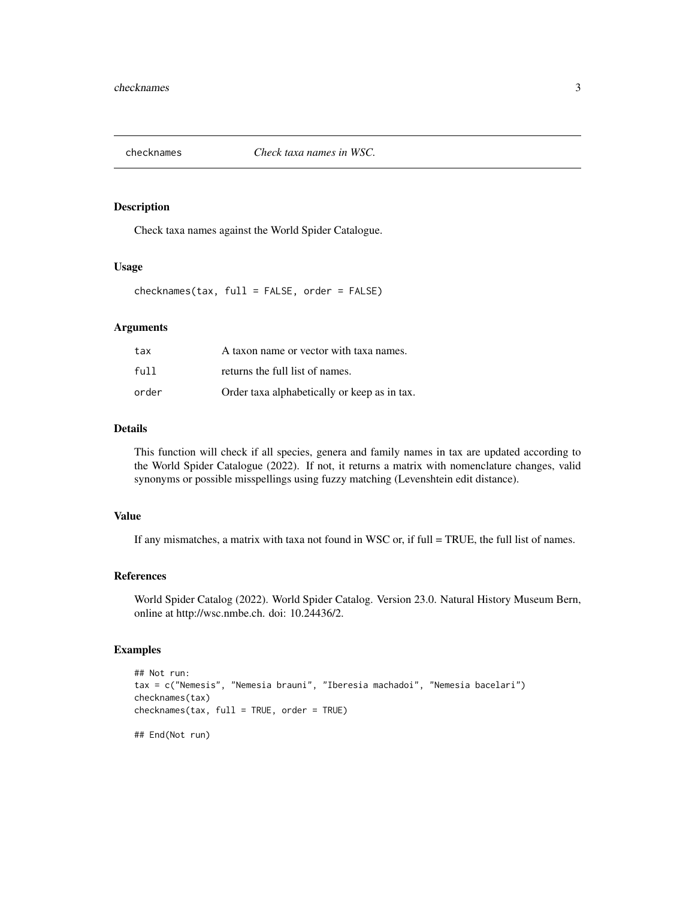<span id="page-2-0"></span>

Check taxa names against the World Spider Catalogue.

#### Usage

checknames(tax, full = FALSE, order = FALSE)

# Arguments

| tax   | A taxon name or vector with taxa names.      |
|-------|----------------------------------------------|
| full  | returns the full list of names.              |
| order | Order taxa alphabetically or keep as in tax. |

#### Details

This function will check if all species, genera and family names in tax are updated according to the World Spider Catalogue (2022). If not, it returns a matrix with nomenclature changes, valid synonyms or possible misspellings using fuzzy matching (Levenshtein edit distance).

# Value

If any mismatches, a matrix with taxa not found in WSC or, if full  $= TRUE$ , the full list of names.

#### References

World Spider Catalog (2022). World Spider Catalog. Version 23.0. Natural History Museum Bern, online at http://wsc.nmbe.ch. doi: 10.24436/2.

```
## Not run:
tax = c("Nemesis", "Nemesia brauni", "Iberesia machadoi", "Nemesia bacelari")
checknames(tax)
checknames(tax, full = TRUE, order = TRUE)
## End(Not run)
```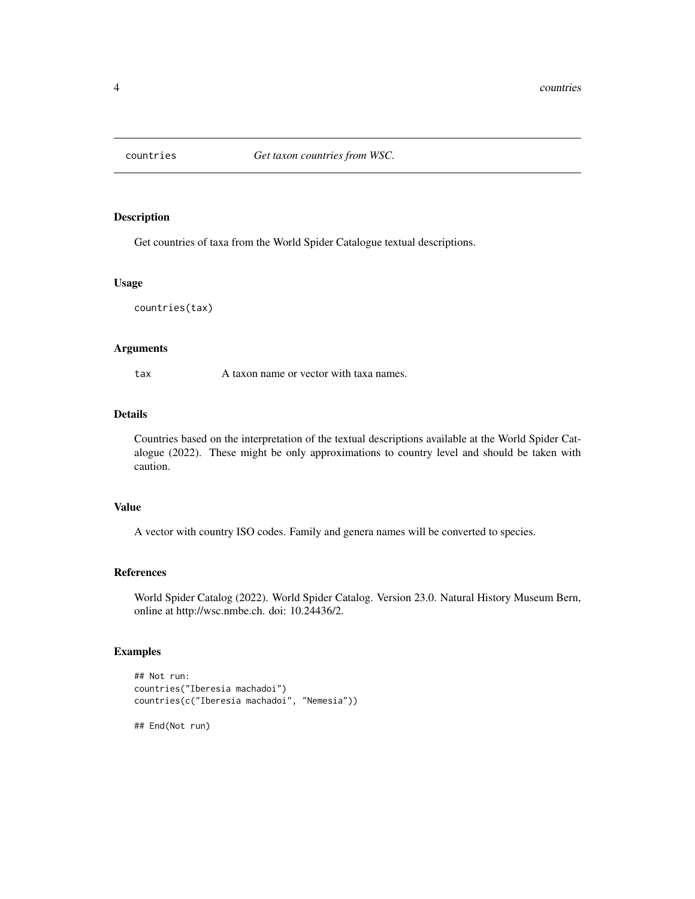<span id="page-3-0"></span>

Get countries of taxa from the World Spider Catalogue textual descriptions.

#### Usage

countries(tax)

# Arguments

tax A taxon name or vector with taxa names.

#### Details

Countries based on the interpretation of the textual descriptions available at the World Spider Catalogue (2022). These might be only approximations to country level and should be taken with caution.

#### Value

A vector with country ISO codes. Family and genera names will be converted to species.

#### References

World Spider Catalog (2022). World Spider Catalog. Version 23.0. Natural History Museum Bern, online at http://wsc.nmbe.ch. doi: 10.24436/2.

## Examples

```
## Not run:
countries("Iberesia machadoi")
countries(c("Iberesia machadoi", "Nemesia"))
```
## End(Not run)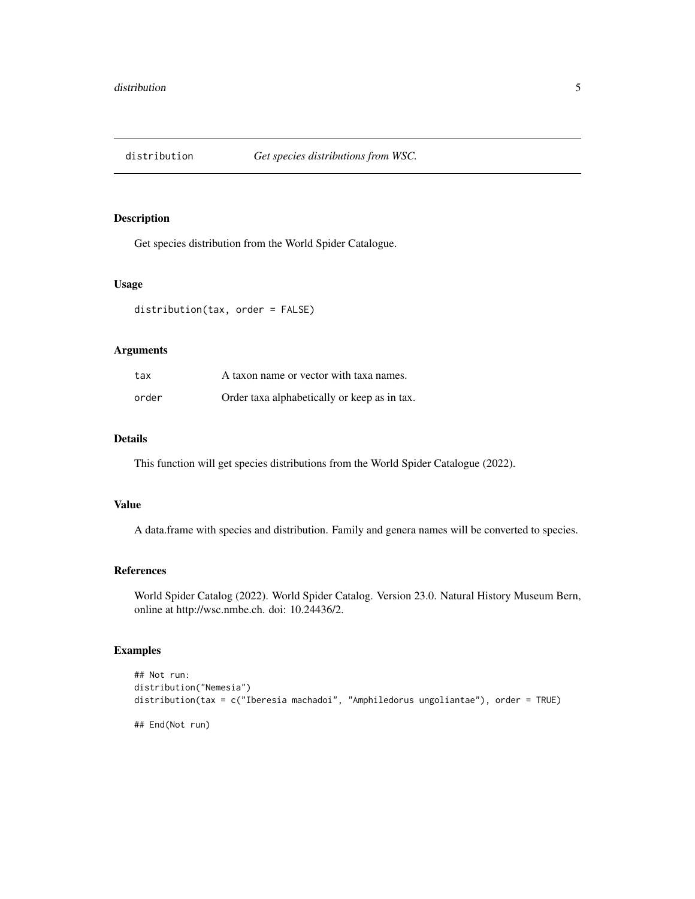<span id="page-4-0"></span>

Get species distribution from the World Spider Catalogue.

#### Usage

distribution(tax, order = FALSE)

# Arguments

| tax   | A taxon name or vector with taxa names.      |
|-------|----------------------------------------------|
| order | Order taxa alphabetically or keep as in tax. |

# Details

This function will get species distributions from the World Spider Catalogue (2022).

#### Value

A data.frame with species and distribution. Family and genera names will be converted to species.

# References

World Spider Catalog (2022). World Spider Catalog. Version 23.0. Natural History Museum Bern, online at http://wsc.nmbe.ch. doi: 10.24436/2.

```
## Not run:
distribution("Nemesia")
distribution(tax = c("Iberesia machadoi", "Amphiledorus ungoliantae"), order = TRUE)
## End(Not run)
```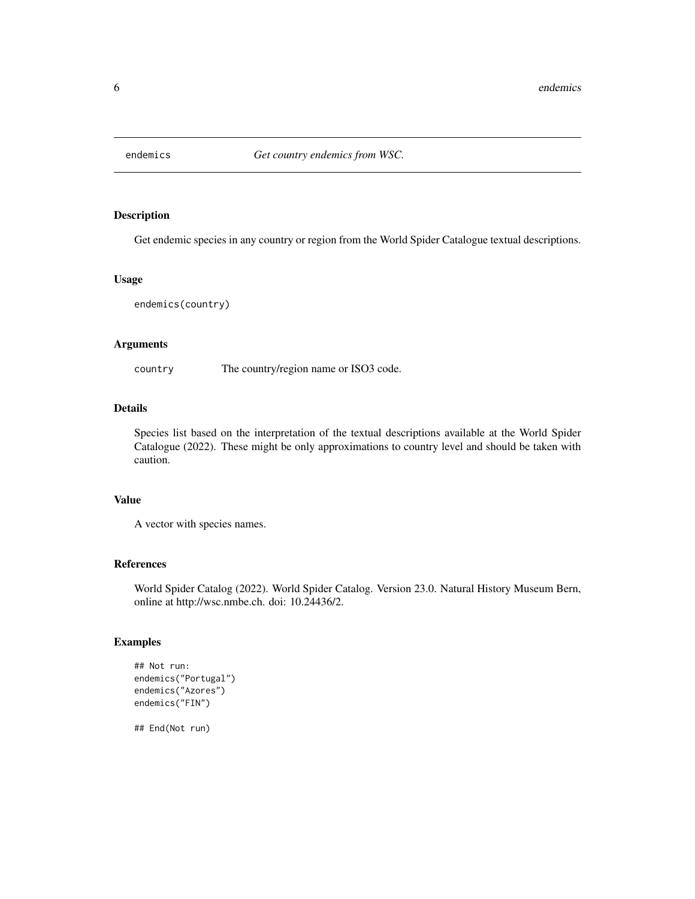<span id="page-5-0"></span>

Get endemic species in any country or region from the World Spider Catalogue textual descriptions.

#### Usage

endemics(country)

# Arguments

country The country/region name or ISO3 code.

# Details

Species list based on the interpretation of the textual descriptions available at the World Spider Catalogue (2022). These might be only approximations to country level and should be taken with caution.

# Value

A vector with species names.

#### References

World Spider Catalog (2022). World Spider Catalog. Version 23.0. Natural History Museum Bern, online at http://wsc.nmbe.ch. doi: 10.24436/2.

#### Examples

```
## Not run:
endemics("Portugal")
endemics("Azores")
endemics("FIN")
```
## End(Not run)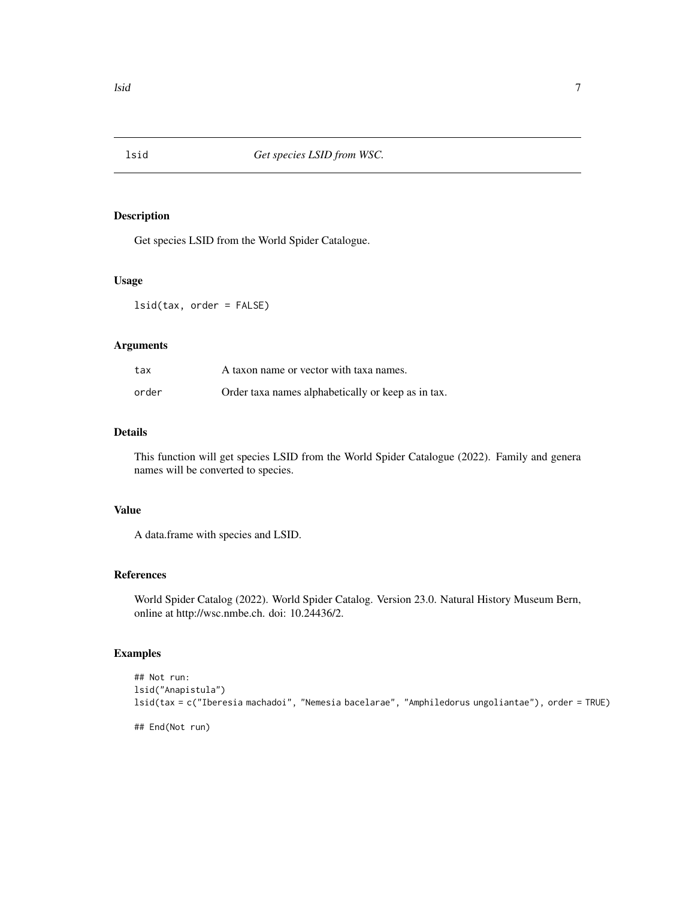<span id="page-6-0"></span>

Get species LSID from the World Spider Catalogue.

#### Usage

lsid(tax, order = FALSE)

# Arguments

| tax   | A taxon name or vector with taxa names.            |
|-------|----------------------------------------------------|
| order | Order taxa names alphabetically or keep as in tax. |

# Details

This function will get species LSID from the World Spider Catalogue (2022). Family and genera names will be converted to species.

### Value

A data.frame with species and LSID.

# References

World Spider Catalog (2022). World Spider Catalog. Version 23.0. Natural History Museum Bern, online at http://wsc.nmbe.ch. doi: 10.24436/2.

```
## Not run:
lsid("Anapistula")
lsid(tax = c("Iberesia machadoi", "Nemesia bacelarae", "Amphiledorus ungoliantae"), order = TRUE)
## End(Not run)
```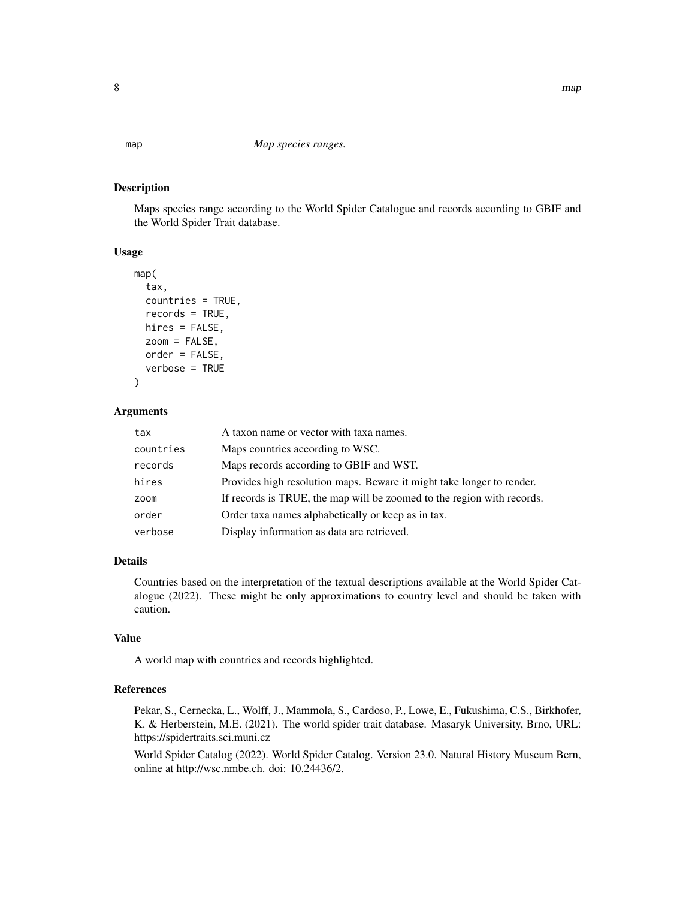<span id="page-7-0"></span>map *Map species ranges.*

#### Description

Maps species range according to the World Spider Catalogue and records according to GBIF and the World Spider Trait database.

#### Usage

```
map(
  tax,
  countries = TRUE,
  records = TRUE,
  hires = FALSE,
  zoom = FALSE,
  order = FALSE,
  verbose = TRUE
```

```
)
```
# Arguments

| tax       | A taxon name or vector with taxa names.                                |
|-----------|------------------------------------------------------------------------|
| countries | Maps countries according to WSC.                                       |
| records   | Maps records according to GBIF and WST.                                |
| hires     | Provides high resolution maps. Beware it might take longer to render.  |
| zoom      | If records is TRUE, the map will be zoomed to the region with records. |
| order     | Order taxa names alphabetically or keep as in tax.                     |
| verbose   | Display information as data are retrieved.                             |

# Details

Countries based on the interpretation of the textual descriptions available at the World Spider Catalogue (2022). These might be only approximations to country level and should be taken with caution.

## Value

A world map with countries and records highlighted.

#### References

Pekar, S., Cernecka, L., Wolff, J., Mammola, S., Cardoso, P., Lowe, E., Fukushima, C.S., Birkhofer, K. & Herberstein, M.E. (2021). The world spider trait database. Masaryk University, Brno, URL: https://spidertraits.sci.muni.cz

World Spider Catalog (2022). World Spider Catalog. Version 23.0. Natural History Museum Bern, online at http://wsc.nmbe.ch. doi: 10.24436/2.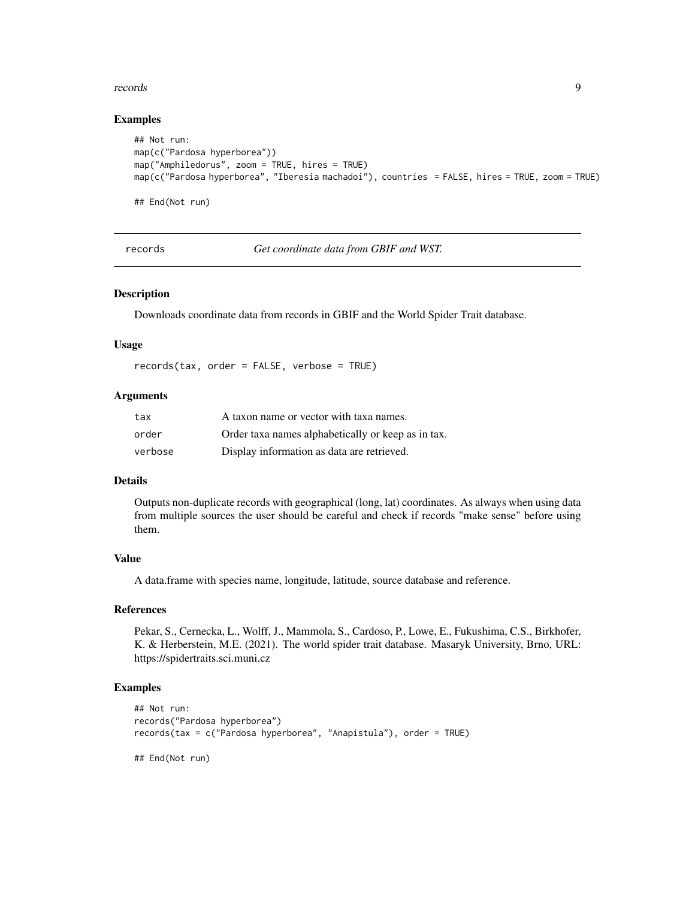#### <span id="page-8-0"></span>records and the set of the set of the set of the set of the set of the set of the set of the set of the set of the set of the set of the set of the set of the set of the set of the set of the set of the set of the set of t

#### Examples

```
## Not run:
map(c("Pardosa hyperborea"))
map("Amphiledorus", zoom = TRUE, hires = TRUE)
map(c("Pardosa hyperborea", "Iberesia machadoi"), countries = FALSE, hires = TRUE, zoom = TRUE)
## End(Not run)
```
records *Get coordinate data from GBIF and WST.*

## Description

Downloads coordinate data from records in GBIF and the World Spider Trait database.

#### Usage

records(tax, order = FALSE, verbose = TRUE)

#### Arguments

| tax     | A taxon name or vector with taxa names.            |
|---------|----------------------------------------------------|
| order   | Order taxa names alphabetically or keep as in tax. |
| verbose | Display information as data are retrieved.         |

### Details

Outputs non-duplicate records with geographical (long, lat) coordinates. As always when using data from multiple sources the user should be careful and check if records "make sense" before using them.

# Value

A data.frame with species name, longitude, latitude, source database and reference.

#### References

Pekar, S., Cernecka, L., Wolff, J., Mammola, S., Cardoso, P., Lowe, E., Fukushima, C.S., Birkhofer, K. & Herberstein, M.E. (2021). The world spider trait database. Masaryk University, Brno, URL: https://spidertraits.sci.muni.cz

```
## Not run:
records("Pardosa hyperborea")
records(tax = c("Pardosa hyperborea", "Anapistula"), order = TRUE)
## End(Not run)
```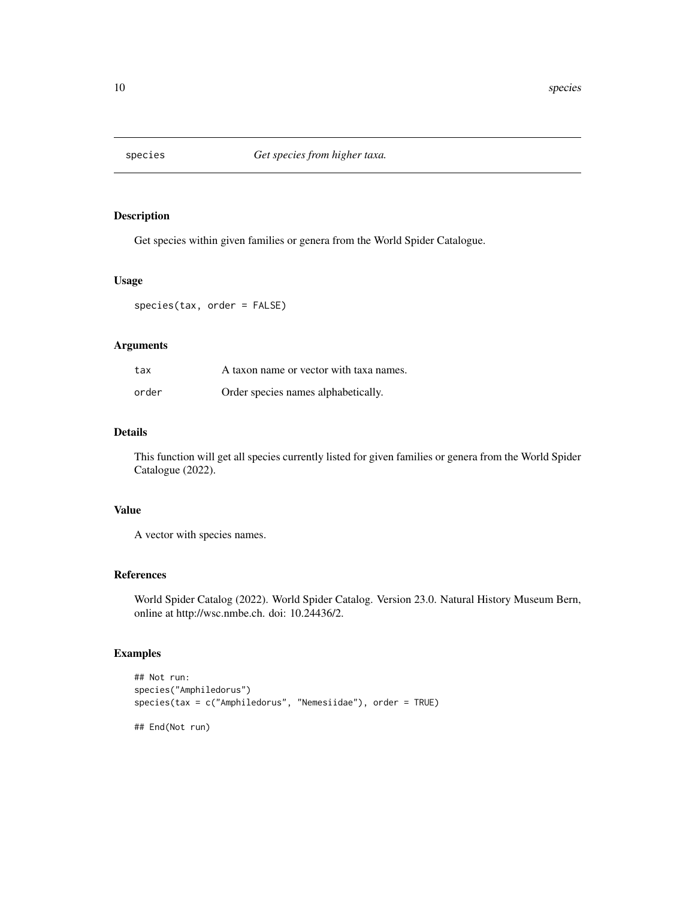<span id="page-9-0"></span>

Get species within given families or genera from the World Spider Catalogue.

#### Usage

species(tax, order = FALSE)

# Arguments

| tax   | A taxon name or vector with taxa names. |
|-------|-----------------------------------------|
| order | Order species names alphabetically.     |

# Details

This function will get all species currently listed for given families or genera from the World Spider Catalogue (2022).

### Value

A vector with species names.

# References

World Spider Catalog (2022). World Spider Catalog. Version 23.0. Natural History Museum Bern, online at http://wsc.nmbe.ch. doi: 10.24436/2.

```
## Not run:
species("Amphiledorus")
species(tax = c("Amphiledorus", "Nemesiidae"), order = TRUE)
## End(Not run)
```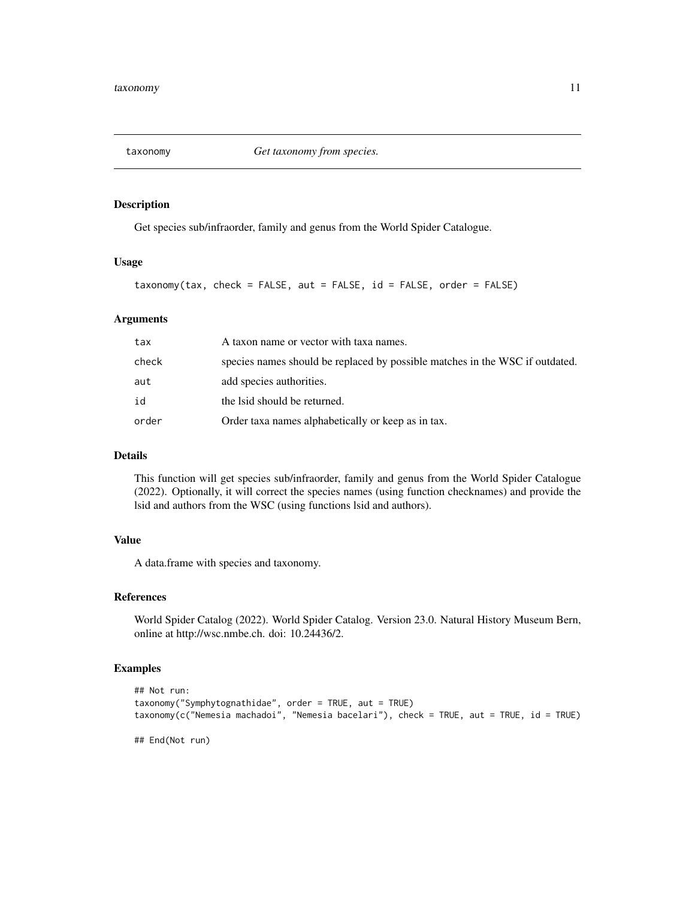<span id="page-10-0"></span>

Get species sub/infraorder, family and genus from the World Spider Catalogue.

# Usage

taxonomy(tax, check = FALSE, aut = FALSE, id = FALSE, order = FALSE)

# Arguments

| tax   | A taxon name or vector with taxa names.                                      |
|-------|------------------------------------------------------------------------------|
| check | species names should be replaced by possible matches in the WSC if outdated. |
| aut   | add species authorities.                                                     |
| id    | the Isid should be returned.                                                 |
| order | Order taxa names alphabetically or keep as in tax.                           |

# Details

This function will get species sub/infraorder, family and genus from the World Spider Catalogue (2022). Optionally, it will correct the species names (using function checknames) and provide the lsid and authors from the WSC (using functions lsid and authors).

# Value

A data.frame with species and taxonomy.

#### References

World Spider Catalog (2022). World Spider Catalog. Version 23.0. Natural History Museum Bern, online at http://wsc.nmbe.ch. doi: 10.24436/2.

```
## Not run:
taxonomy("Symphytognathidae", order = TRUE, aut = TRUE)
taxonomy(c("Nemesia machadoi", "Nemesia bacelari"), check = TRUE, aut = TRUE, id = TRUE)
## End(Not run)
```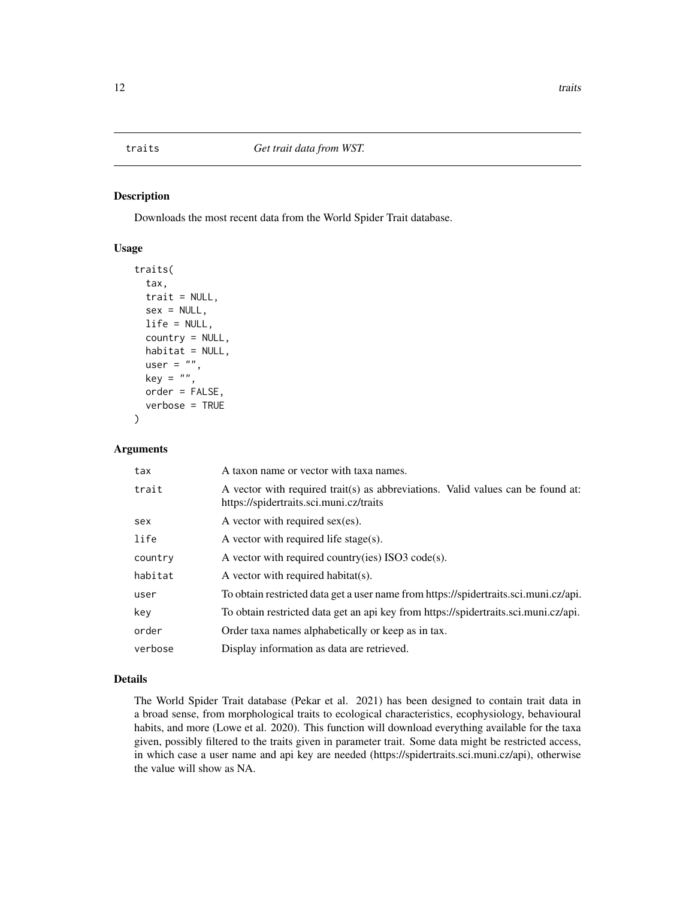<span id="page-11-0"></span>Downloads the most recent data from the World Spider Trait database.

### Usage

```
traits(
  tax,
  trait = NULL,sex = NULL,life = NULL,
  country = NULL,
 habitat = NULL,user = ",
  key = "",
  order = FALSE,
  verbose = TRUE
)
```
#### Arguments

| tax     | A taxon name or vector with taxa names.                                                                                    |
|---------|----------------------------------------------------------------------------------------------------------------------------|
| trait   | A vector with required trait(s) as abbreviations. Valid values can be found at:<br>https://spidertraits.sci.muni.cz/traits |
| sex     | A vector with required $sex(es)$ .                                                                                         |
| life    | A vector with required life stage(s).                                                                                      |
| country | A vector with required country(ies) ISO3 code(s).                                                                          |
| habitat | A vector with required habitat(s).                                                                                         |
| user    | To obtain restricted data get a user name from https://spidertraits.sci.muni.cz/api.                                       |
| key     | To obtain restricted data get an api key from https://spidertraits.sci.muni.cz/api.                                        |
| order   | Order taxa names alphabetically or keep as in tax.                                                                         |
| verbose | Display information as data are retrieved.                                                                                 |

### Details

The World Spider Trait database (Pekar et al. 2021) has been designed to contain trait data in a broad sense, from morphological traits to ecological characteristics, ecophysiology, behavioural habits, and more (Lowe et al. 2020). This function will download everything available for the taxa given, possibly filtered to the traits given in parameter trait. Some data might be restricted access, in which case a user name and api key are needed (https://spidertraits.sci.muni.cz/api), otherwise the value will show as NA.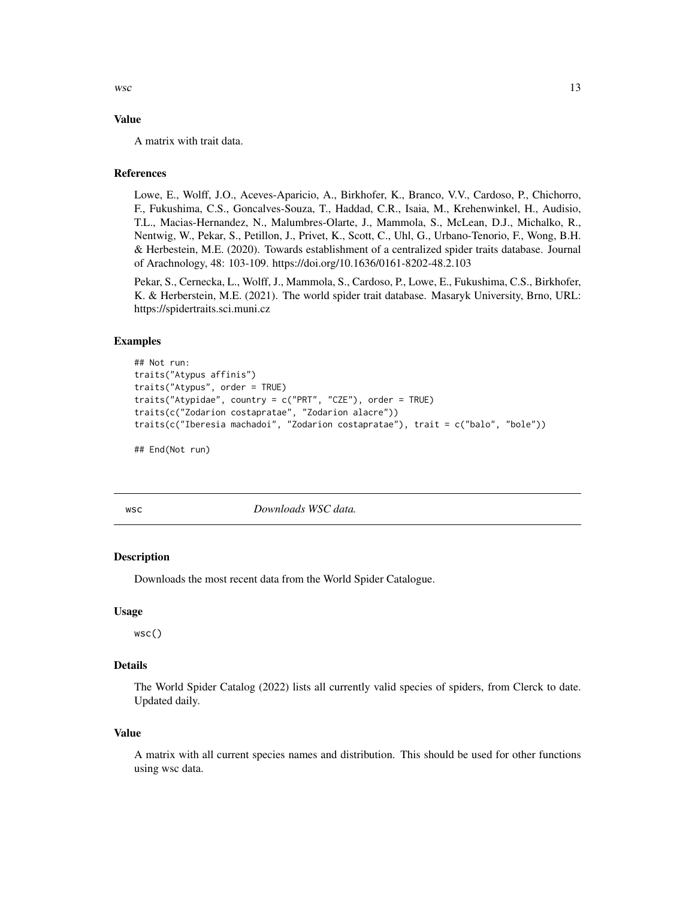<span id="page-12-0"></span> $wsc$  13

### Value

A matrix with trait data.

#### References

Lowe, E., Wolff, J.O., Aceves-Aparicio, A., Birkhofer, K., Branco, V.V., Cardoso, P., Chichorro, F., Fukushima, C.S., Goncalves-Souza, T., Haddad, C.R., Isaia, M., Krehenwinkel, H., Audisio, T.L., Macias-Hernandez, N., Malumbres-Olarte, J., Mammola, S., McLean, D.J., Michalko, R., Nentwig, W., Pekar, S., Petillon, J., Privet, K., Scott, C., Uhl, G., Urbano-Tenorio, F., Wong, B.H. & Herbestein, M.E. (2020). Towards establishment of a centralized spider traits database. Journal of Arachnology, 48: 103-109. https://doi.org/10.1636/0161-8202-48.2.103

Pekar, S., Cernecka, L., Wolff, J., Mammola, S., Cardoso, P., Lowe, E., Fukushima, C.S., Birkhofer, K. & Herberstein, M.E. (2021). The world spider trait database. Masaryk University, Brno, URL: https://spidertraits.sci.muni.cz

#### Examples

```
## Not run:
traits("Atypus affinis")
traits("Atypus", order = TRUE)
traits("Atypidae", country = c("PRT", "CZE"), order = TRUE)
traits(c("Zodarion costapratae", "Zodarion alacre"))
traits(c("Iberesia machadoi", "Zodarion costapratae"), trait = c("balo", "bole"))
```
## End(Not run)

wsc *Downloads WSC data.*

#### **Description**

Downloads the most recent data from the World Spider Catalogue.

#### Usage

wsc()

#### Details

The World Spider Catalog (2022) lists all currently valid species of spiders, from Clerck to date. Updated daily.

#### Value

A matrix with all current species names and distribution. This should be used for other functions using wsc data.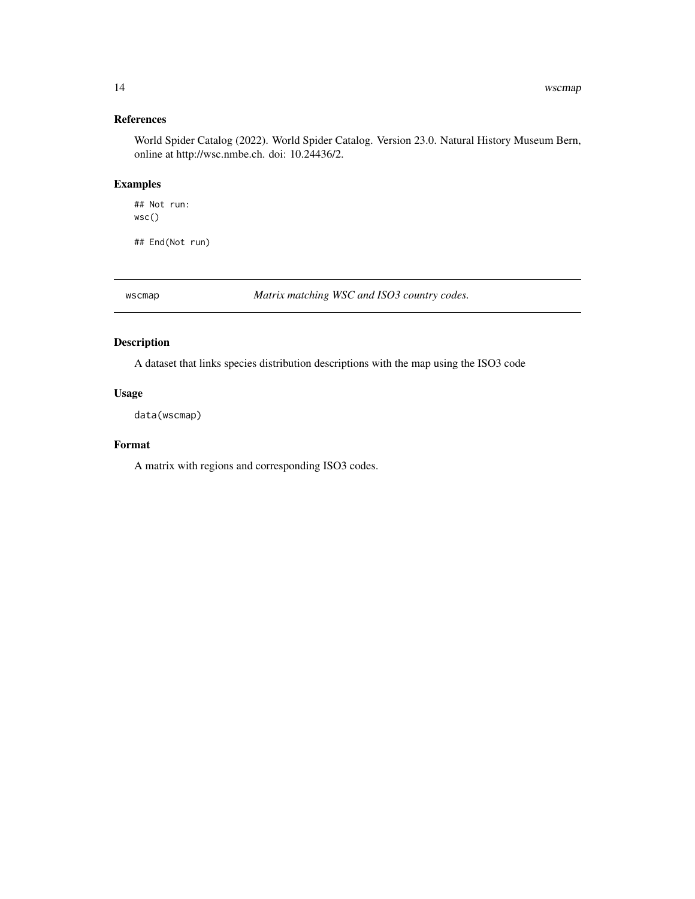# <span id="page-13-0"></span>References

World Spider Catalog (2022). World Spider Catalog. Version 23.0. Natural History Museum Bern, online at http://wsc.nmbe.ch. doi: 10.24436/2.

# Examples

## Not run: wsc()

## End(Not run)

wscmap *Matrix matching WSC and ISO3 country codes.*

# Description

A dataset that links species distribution descriptions with the map using the ISO3 code

# Usage

data(wscmap)

# Format

A matrix with regions and corresponding ISO3 codes.